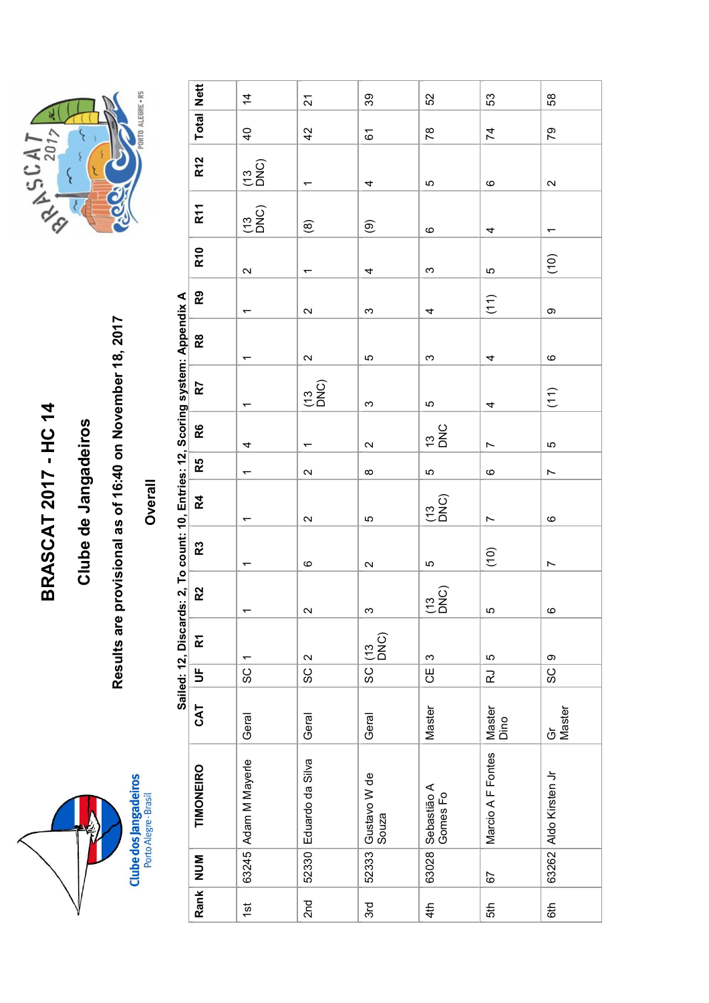



|                                                     |                                                     |                                                                                |                      | $\overline{4}$                          | $\overline{\mathcal{N}}$ | $39\,$                   | 52                                       | 53                       | $58\,$                   |  |
|-----------------------------------------------------|-----------------------------------------------------|--------------------------------------------------------------------------------|----------------------|-----------------------------------------|--------------------------|--------------------------|------------------------------------------|--------------------------|--------------------------|--|
| 2017                                                | PORTO ALEGRE . RS                                   |                                                                                | <b>Total</b> Nett    | $\overline{4}$                          | 42                       | $\overline{6}$           | $78$                                     | $\overline{7}$           | $\overline{2}$           |  |
| {                                                   |                                                     |                                                                                | <b>R12</b>           | $\begin{pmatrix} 13 \\ 2 \end{pmatrix}$ | $\overline{\phantom{m}}$ | 4                        | 5                                        | $\mathbf{\circ}$         | $\boldsymbol{\sim}$      |  |
| <b>Code</b><br>L H.P<br>$\overline{\mathcal{U}}$    |                                                     |                                                                                | R11                  | $\frac{1}{2}$                           | $\widehat{\circledast}$  | $\widehat{\mathfrak{G}}$ | $\mathbf{\circ}$                         | 4                        | $\overline{\phantom{m}}$ |  |
|                                                     |                                                     |                                                                                | <b>R10</b>           | $\boldsymbol{\sim}$                     | $\overline{\phantom{m}}$ | 4                        | $\boldsymbol{\infty}$                    | LO.                      | (10)                     |  |
|                                                     |                                                     |                                                                                | R9                   | $\overline{\phantom{m}}$                | $\sim$                   | $\boldsymbol{\infty}$    | 4                                        | (11)                     | $\mathbf{\circ}$         |  |
| provisional as of 16:40 on November 18, 2017        |                                                     | Sailed: 12, Discards: 2, To count: 10, Entries: 12, Scoring system: Appendix A | $\mathsf R$          | $\overline{\phantom{0}}$                | $\sim$                   | LO                       | $\boldsymbol{\infty}$                    | 4                        | $\mathbf{\circ}$         |  |
|                                                     |                                                     |                                                                                | R7                   | $\overline{\phantom{m}}$                | $\frac{1}{2}$            | $\infty$                 | LO                                       | 4                        | $(11)$                   |  |
|                                                     |                                                     |                                                                                | R6                   | 4                                       | $\overline{\phantom{0}}$ | $\boldsymbol{\sim}$      | $\frac{13}{20}$                          | $\overline{ }$           | Ю                        |  |
|                                                     |                                                     |                                                                                | R5                   | $\overline{\phantom{m}}$                | $\sim$                   | $\infty$                 | LO.                                      | $\mathbf{\circ}$         | $\overline{\phantom{a}}$ |  |
|                                                     | Overall                                             |                                                                                | R4                   | $\overline{\phantom{m}}$                | $\sim$                   | $\mathfrak{S}$           | $\begin{pmatrix} 13 \\ 20 \end{pmatrix}$ | $\overline{\phantom{a}}$ | $\mathbf{\circ}$         |  |
| <b>BRASCAT 2017 - HC 14</b><br>Clube de Jangadeiros |                                                     |                                                                                | R <sub>3</sub>       | $\overline{\phantom{0}}$                | $\mathbf \omega$         | $\sim$                   | LO                                       | (10)                     | $\overline{ }$           |  |
|                                                     |                                                     |                                                                                | R <sub>2</sub>       | $\overline{\phantom{0}}$                | $\boldsymbol{\sim}$      | $\infty$                 | $\frac{1}{2}$                            | 5                        | $\circ$                  |  |
| Results are                                         |                                                     |                                                                                | $\tilde{\mathbf{k}}$ | $\overline{\phantom{0}}$                | $\boldsymbol{\sim}$      | $\frac{13}{2}$           | S                                        | 5                        | တ                        |  |
|                                                     |                                                     |                                                                                | $\frac{1}{2}$        | SC                                      | ပ္တ                      | SC                       | UЮ                                       | $\vec{\mathbf{r}}$       | SC                       |  |
|                                                     |                                                     |                                                                                | <b>GAT</b>           | Geral                                   | Geral                    | Geral                    | Master                                   | Master<br>Dino           | Gr<br>Master             |  |
|                                                     | <b>Clube dos Jangadeiros</b><br>Porto Alegre-Brasil |                                                                                | TIMONEIRO            | Adam M Mayerle                          | Eduardo da Silva         | Gustavo W de<br>Souza    | Sebastião A<br>Gomes Fo                  | Marcio A F Fontes        | Aldo Kirsten Jr          |  |
|                                                     |                                                     |                                                                                | MUN                  | 63245                                   | 52330                    | 52333                    | 63028                                    | 67                       | 63262                    |  |
|                                                     |                                                     |                                                                                | Rank                 | $\frac{1}{2}$                           | 2 <sub>nd</sub>          | 3rd                      | 4th                                      | 5th                      | 6th                      |  |